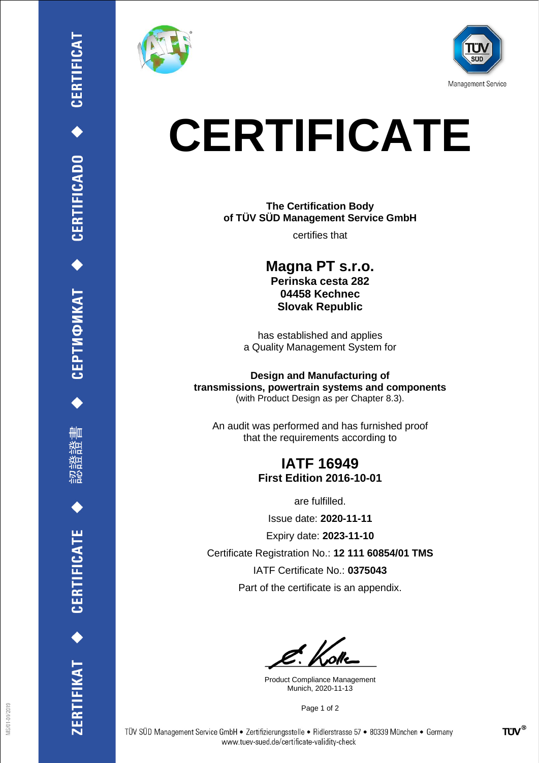

₩ш

**CERTIFICATE** 

ERTIFIKAT<sup>+</sup>





## **CERTIFICATE**

**The Certification Body of TÜV SÜD Management Service GmbH**

certifies that

**Magna PT s.r.o. Perinska cesta 282 04458 Kechnec Slovak Republic**

has established and applies a Quality Management System for

**Design and Manufacturing of transmissions, powertrain systems and components** (with Product Design as per Chapter 8.3).

An audit was performed and has furnished proof that the requirements according to

## **IATF 16949 First Edition 2016-10-01**

are fulfilled.

Issue date: **2020-11-11**

Expiry date: **2023-11-10**

Certificate Registration No.: **12 111 60854/01 TMS**

IATF Certificate No.: **0375043**

Part of the certificate is an appendix.

Product Compliance Management Munich, 2020-11-13

Page 1 of 2